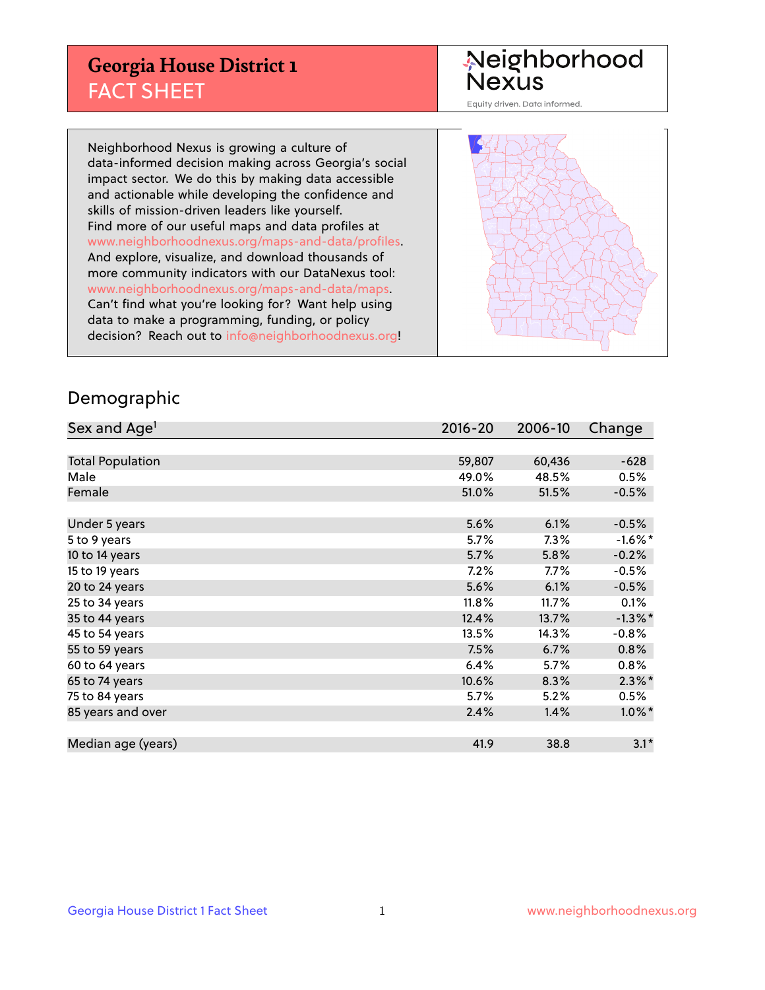## **Georgia House District 1** FACT SHEET

# Neighborhood<br>Nexus

Equity driven. Data informed.

Neighborhood Nexus is growing a culture of data-informed decision making across Georgia's social impact sector. We do this by making data accessible and actionable while developing the confidence and skills of mission-driven leaders like yourself. Find more of our useful maps and data profiles at www.neighborhoodnexus.org/maps-and-data/profiles. And explore, visualize, and download thousands of more community indicators with our DataNexus tool: www.neighborhoodnexus.org/maps-and-data/maps. Can't find what you're looking for? Want help using data to make a programming, funding, or policy decision? Reach out to [info@neighborhoodnexus.org!](mailto:info@neighborhoodnexus.org)



### Demographic

| Sex and Age <sup>1</sup> | $2016 - 20$ | 2006-10 | Change     |
|--------------------------|-------------|---------|------------|
|                          |             |         |            |
| <b>Total Population</b>  | 59,807      | 60,436  | $-628$     |
| Male                     | 49.0%       | 48.5%   | 0.5%       |
| Female                   | 51.0%       | 51.5%   | $-0.5%$    |
|                          |             |         |            |
| Under 5 years            | 5.6%        | 6.1%    | $-0.5%$    |
| 5 to 9 years             | 5.7%        | 7.3%    | $-1.6%$ *  |
| 10 to 14 years           | 5.7%        | 5.8%    | $-0.2%$    |
| 15 to 19 years           | 7.2%        | $7.7\%$ | $-0.5%$    |
| 20 to 24 years           | 5.6%        | 6.1%    | $-0.5%$    |
| 25 to 34 years           | 11.8%       | 11.7%   | 0.1%       |
| 35 to 44 years           | 12.4%       | 13.7%   | $-1.3\%$ * |
| 45 to 54 years           | 13.5%       | 14.3%   | $-0.8%$    |
| 55 to 59 years           | 7.5%        | 6.7%    | 0.8%       |
| 60 to 64 years           | 6.4%        | $5.7\%$ | $0.8\%$    |
| 65 to 74 years           | 10.6%       | 8.3%    | $2.3\%$ *  |
| 75 to 84 years           | 5.7%        | 5.2%    | 0.5%       |
| 85 years and over        | 2.4%        | 1.4%    | $1.0\%$ *  |
|                          |             |         |            |
| Median age (years)       | 41.9        | 38.8    | $3.1*$     |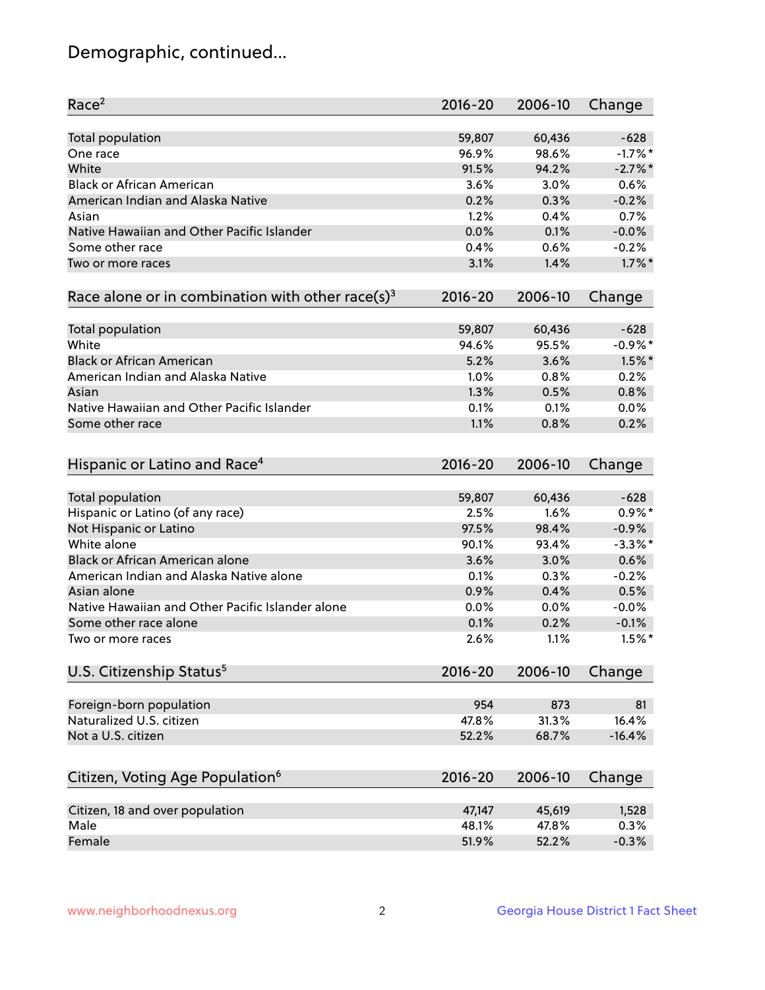## Demographic, continued...

| Race <sup>2</sup>                                            | $2016 - 20$ | 2006-10 | Change     |
|--------------------------------------------------------------|-------------|---------|------------|
| <b>Total population</b>                                      | 59,807      | 60,436  | $-628$     |
| One race                                                     | 96.9%       | 98.6%   | $-1.7%$ *  |
| White                                                        | 91.5%       | 94.2%   | $-2.7%$    |
| <b>Black or African American</b>                             | 3.6%        | 3.0%    | 0.6%       |
| American Indian and Alaska Native                            | 0.2%        | 0.3%    | $-0.2%$    |
| Asian                                                        | 1.2%        | 0.4%    | 0.7%       |
| Native Hawaiian and Other Pacific Islander                   | 0.0%        | 0.1%    | $-0.0%$    |
| Some other race                                              | 0.4%        | 0.6%    | $-0.2%$    |
| Two or more races                                            | 3.1%        | 1.4%    | $1.7\%$ *  |
| Race alone or in combination with other race(s) <sup>3</sup> | $2016 - 20$ | 2006-10 | Change     |
| <b>Total population</b>                                      | 59,807      | 60,436  | $-628$     |
| White                                                        | 94.6%       | 95.5%   | $-0.9%$ *  |
| <b>Black or African American</b>                             | 5.2%        | 3.6%    | $1.5\%$ *  |
| American Indian and Alaska Native                            | 1.0%        | 0.8%    | 0.2%       |
| Asian                                                        | 1.3%        | 0.5%    | 0.8%       |
| Native Hawaiian and Other Pacific Islander                   | 0.1%        | 0.1%    | 0.0%       |
| Some other race                                              | 1.1%        | 0.8%    | 0.2%       |
|                                                              |             |         |            |
| Hispanic or Latino and Race <sup>4</sup>                     | $2016 - 20$ | 2006-10 | Change     |
| <b>Total population</b>                                      | 59,807      | 60,436  | $-628$     |
| Hispanic or Latino (of any race)                             | 2.5%        | 1.6%    | $0.9\%$ *  |
| Not Hispanic or Latino                                       | 97.5%       | 98.4%   | $-0.9%$    |
| White alone                                                  | 90.1%       | 93.4%   | $-3.3\%$ * |
| <b>Black or African American alone</b>                       | 3.6%        | 3.0%    | 0.6%       |
| American Indian and Alaska Native alone                      | 0.1%        | 0.3%    | $-0.2%$    |
| Asian alone                                                  | 0.9%        | 0.4%    | 0.5%       |
| Native Hawaiian and Other Pacific Islander alone             | $0.0\%$     | 0.0%    | $-0.0%$    |
| Some other race alone                                        | 0.1%        | 0.2%    | $-0.1%$    |
| Two or more races                                            | 2.6%        | 1.1%    | $1.5%$ *   |
| U.S. Citizenship Status <sup>5</sup>                         | $2016 - 20$ | 2006-10 | Change     |
|                                                              |             |         |            |
| Foreign-born population                                      | 954         | 873     | 81         |
| Naturalized U.S. citizen                                     | 47.8%       | 31.3%   | 16.4%      |
| Not a U.S. citizen                                           | 52.2%       | 68.7%   | $-16.4%$   |
| Citizen, Voting Age Population <sup>6</sup>                  | 2016-20     | 2006-10 | Change     |
|                                                              |             |         |            |
| Citizen, 18 and over population                              | 47,147      | 45,619  | 1,528      |
| Male                                                         | 48.1%       | 47.8%   | 0.3%       |
| Female                                                       | 51.9%       | 52.2%   | $-0.3%$    |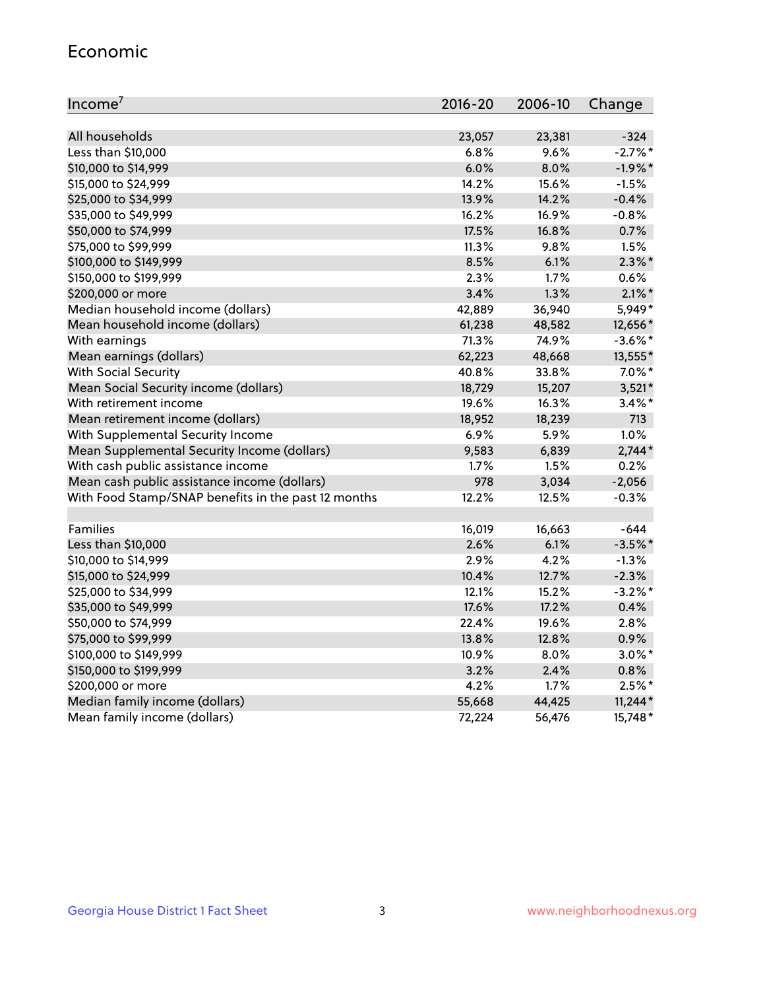#### Economic

| Income <sup>7</sup>                                 | $2016 - 20$ | 2006-10 | Change     |
|-----------------------------------------------------|-------------|---------|------------|
|                                                     |             |         |            |
| All households                                      | 23,057      | 23,381  | $-324$     |
| Less than \$10,000                                  | 6.8%        | 9.6%    | $-2.7\%$ * |
| \$10,000 to \$14,999                                | 6.0%        | 8.0%    | $-1.9%$ *  |
| \$15,000 to \$24,999                                | 14.2%       | 15.6%   | $-1.5%$    |
| \$25,000 to \$34,999                                | 13.9%       | 14.2%   | $-0.4%$    |
| \$35,000 to \$49,999                                | 16.2%       | 16.9%   | $-0.8%$    |
| \$50,000 to \$74,999                                | 17.5%       | 16.8%   | 0.7%       |
| \$75,000 to \$99,999                                | 11.3%       | 9.8%    | 1.5%       |
| \$100,000 to \$149,999                              | 8.5%        | 6.1%    | $2.3\%$ *  |
| \$150,000 to \$199,999                              | 2.3%        | 1.7%    | 0.6%       |
| \$200,000 or more                                   | 3.4%        | 1.3%    | $2.1\%$ *  |
| Median household income (dollars)                   | 42,889      | 36,940  | 5,949*     |
| Mean household income (dollars)                     | 61,238      | 48,582  | 12,656*    |
| With earnings                                       | 71.3%       | 74.9%   | $-3.6\%$ * |
| Mean earnings (dollars)                             | 62,223      | 48,668  | 13,555*    |
| <b>With Social Security</b>                         | 40.8%       | 33.8%   | $7.0\%$ *  |
| Mean Social Security income (dollars)               | 18,729      | 15,207  | $3,521*$   |
| With retirement income                              | 19.6%       | 16.3%   | $3.4\%$ *  |
| Mean retirement income (dollars)                    | 18,952      | 18,239  | 713        |
| With Supplemental Security Income                   | 6.9%        | 5.9%    | 1.0%       |
| Mean Supplemental Security Income (dollars)         | 9,583       | 6,839   | $2,744*$   |
| With cash public assistance income                  | 1.7%        | 1.5%    | 0.2%       |
| Mean cash public assistance income (dollars)        | 978         | 3,034   | $-2,056$   |
| With Food Stamp/SNAP benefits in the past 12 months | 12.2%       | 12.5%   | $-0.3%$    |
|                                                     |             |         |            |
| Families                                            | 16,019      | 16,663  | $-644$     |
| Less than \$10,000                                  | 2.6%        | 6.1%    | $-3.5%$ *  |
| \$10,000 to \$14,999                                | 2.9%        | 4.2%    | $-1.3%$    |
| \$15,000 to \$24,999                                | 10.4%       | 12.7%   | $-2.3%$    |
| \$25,000 to \$34,999                                | 12.1%       | 15.2%   | $-3.2\%$ * |
| \$35,000 to \$49,999                                | 17.6%       | 17.2%   | 0.4%       |
| \$50,000 to \$74,999                                | 22.4%       | 19.6%   | 2.8%       |
| \$75,000 to \$99,999                                | 13.8%       | 12.8%   | 0.9%       |
| \$100,000 to \$149,999                              | 10.9%       | $8.0\%$ | $3.0\%$ *  |
| \$150,000 to \$199,999                              | 3.2%        | 2.4%    | 0.8%       |
| \$200,000 or more                                   | 4.2%        | 1.7%    | $2.5%$ *   |
| Median family income (dollars)                      | 55,668      | 44,425  | $11,244*$  |
| Mean family income (dollars)                        | 72,224      | 56,476  | 15,748*    |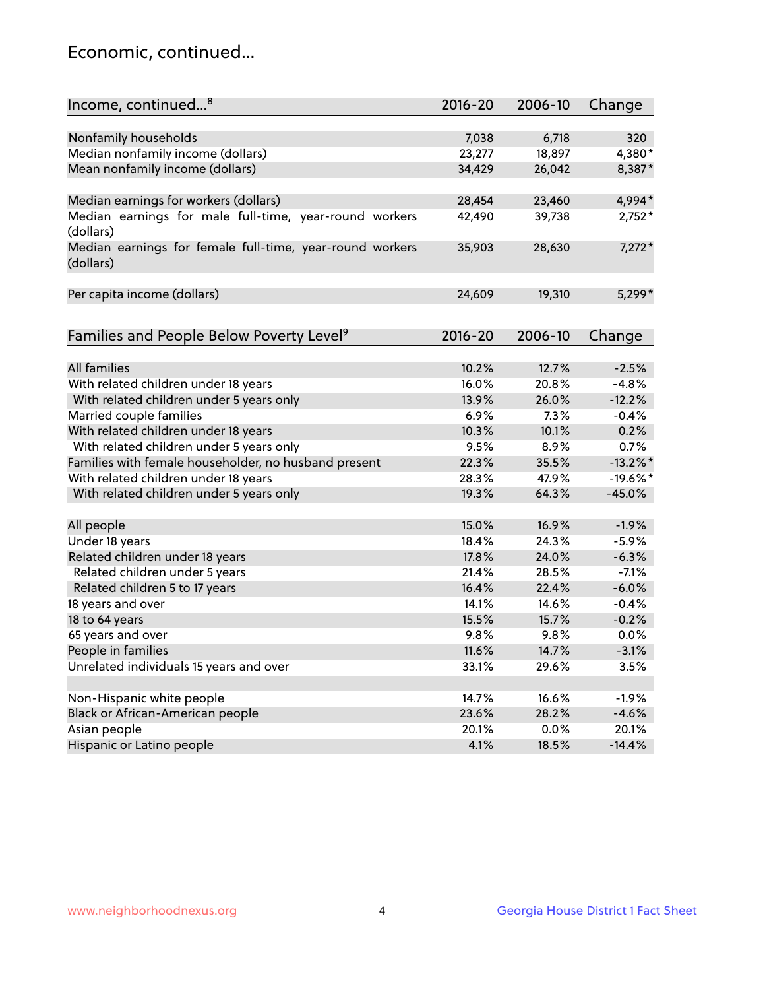## Economic, continued...

| Income, continued <sup>8</sup>                           | 2016-20 | 2006-10 | Change      |
|----------------------------------------------------------|---------|---------|-------------|
|                                                          |         |         |             |
| Nonfamily households                                     | 7,038   | 6,718   | 320         |
| Median nonfamily income (dollars)                        | 23,277  | 18,897  | 4,380*      |
| Mean nonfamily income (dollars)                          | 34,429  | 26,042  | 8,387*      |
|                                                          |         |         |             |
| Median earnings for workers (dollars)                    | 28,454  | 23,460  | 4,994*      |
| Median earnings for male full-time, year-round workers   | 42,490  | 39,738  | $2,752*$    |
| (dollars)                                                |         |         |             |
| Median earnings for female full-time, year-round workers | 35,903  | 28,630  | $7,272*$    |
| (dollars)                                                |         |         |             |
|                                                          |         |         |             |
| Per capita income (dollars)                              | 24,609  | 19,310  | $5,299*$    |
|                                                          |         |         |             |
| Families and People Below Poverty Level <sup>9</sup>     | 2016-20 | 2006-10 | Change      |
|                                                          |         |         |             |
| <b>All families</b>                                      | 10.2%   | 12.7%   | $-2.5%$     |
| With related children under 18 years                     | 16.0%   | 20.8%   | $-4.8%$     |
| With related children under 5 years only                 | 13.9%   | 26.0%   | $-12.2%$    |
| Married couple families                                  | 6.9%    | 7.3%    | $-0.4%$     |
| With related children under 18 years                     | 10.3%   | 10.1%   | 0.2%        |
| With related children under 5 years only                 | 9.5%    | 8.9%    | 0.7%        |
| Families with female householder, no husband present     | 22.3%   | 35.5%   | $-13.2\%$ * |
| With related children under 18 years                     | 28.3%   | 47.9%   | $-19.6%$ *  |
| With related children under 5 years only                 | 19.3%   | 64.3%   | $-45.0%$    |
|                                                          |         |         |             |
| All people                                               | 15.0%   | 16.9%   | $-1.9%$     |
| Under 18 years                                           | 18.4%   | 24.3%   | $-5.9%$     |
| Related children under 18 years                          | 17.8%   | 24.0%   | $-6.3%$     |
| Related children under 5 years                           | 21.4%   | 28.5%   | $-7.1%$     |
| Related children 5 to 17 years                           | 16.4%   | 22.4%   | $-6.0%$     |
| 18 years and over                                        | 14.1%   | 14.6%   | $-0.4%$     |
| 18 to 64 years                                           | 15.5%   | 15.7%   | $-0.2%$     |
| 65 years and over                                        | 9.8%    | 9.8%    | 0.0%        |
| People in families                                       | 11.6%   | 14.7%   | $-3.1%$     |
| Unrelated individuals 15 years and over                  | 33.1%   | 29.6%   | 3.5%        |
|                                                          |         |         |             |
| Non-Hispanic white people                                | 14.7%   | 16.6%   | $-1.9%$     |
| Black or African-American people                         | 23.6%   | 28.2%   | $-4.6%$     |
| Asian people                                             | 20.1%   | 0.0%    | 20.1%       |
| Hispanic or Latino people                                | 4.1%    | 18.5%   | $-14.4%$    |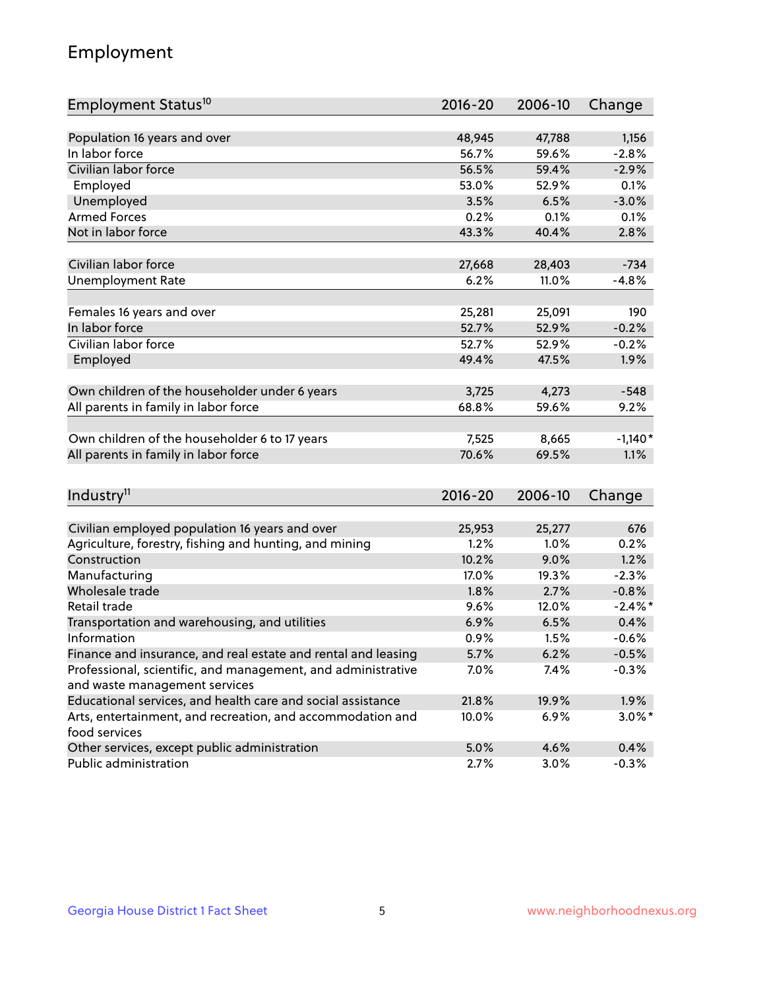## Employment

| Employment Status <sup>10</sup>                                             | 2016-20 | 2006-10 | Change    |
|-----------------------------------------------------------------------------|---------|---------|-----------|
|                                                                             |         |         |           |
| Population 16 years and over                                                | 48,945  | 47,788  | 1,156     |
| In labor force                                                              | 56.7%   | 59.6%   | $-2.8%$   |
| Civilian labor force                                                        | 56.5%   | 59.4%   | $-2.9%$   |
| Employed                                                                    | 53.0%   | 52.9%   | 0.1%      |
| Unemployed                                                                  | 3.5%    | 6.5%    | $-3.0%$   |
| <b>Armed Forces</b>                                                         | 0.2%    | 0.1%    | 0.1%      |
| Not in labor force                                                          | 43.3%   | 40.4%   | 2.8%      |
|                                                                             |         |         |           |
| Civilian labor force                                                        | 27,668  | 28,403  | $-734$    |
| <b>Unemployment Rate</b>                                                    | 6.2%    | 11.0%   | $-4.8%$   |
|                                                                             |         |         |           |
| Females 16 years and over                                                   | 25,281  | 25,091  | 190       |
| In labor force                                                              | 52.7%   | 52.9%   | $-0.2%$   |
| Civilian labor force                                                        | 52.7%   | 52.9%   | $-0.2%$   |
| Employed                                                                    | 49.4%   | 47.5%   | 1.9%      |
| Own children of the householder under 6 years                               | 3,725   | 4,273   | $-548$    |
| All parents in family in labor force                                        | 68.8%   | 59.6%   | 9.2%      |
|                                                                             |         |         |           |
| Own children of the householder 6 to 17 years                               | 7,525   | 8,665   | $-1,140*$ |
| All parents in family in labor force                                        | 70.6%   | 69.5%   | 1.1%      |
|                                                                             |         |         |           |
| Industry <sup>11</sup>                                                      | 2016-20 | 2006-10 | Change    |
|                                                                             |         |         |           |
| Civilian employed population 16 years and over                              | 25,953  | 25,277  | 676       |
| Agriculture, forestry, fishing and hunting, and mining                      | 1.2%    | 1.0%    | 0.2%      |
| Construction                                                                | 10.2%   | 9.0%    | 1.2%      |
| Manufacturing                                                               | 17.0%   | 19.3%   | $-2.3%$   |
| Wholesale trade                                                             | 1.8%    | 2.7%    | $-0.8%$   |
| Retail trade                                                                | 9.6%    | 12.0%   | $-2.4\%$  |
| Transportation and warehousing, and utilities                               | 6.9%    | 6.5%    | 0.4%      |
| Information                                                                 | 0.9%    | 1.5%    | $-0.6%$   |
| Finance and insurance, and real estate and rental and leasing               | 5.7%    | 6.2%    | $-0.5%$   |
| Professional, scientific, and management, and administrative                | 7.0%    | 7.4%    | $-0.3%$   |
| and waste management services                                               |         |         |           |
| Educational services, and health care and social assistance                 | 21.8%   | 19.9%   | 1.9%      |
| Arts, entertainment, and recreation, and accommodation and<br>food services | 10.0%   | 6.9%    | $3.0\%$ * |
| Other services, except public administration                                | 5.0%    | 4.6%    | 0.4%      |
| Public administration                                                       | 2.7%    | 3.0%    | $-0.3%$   |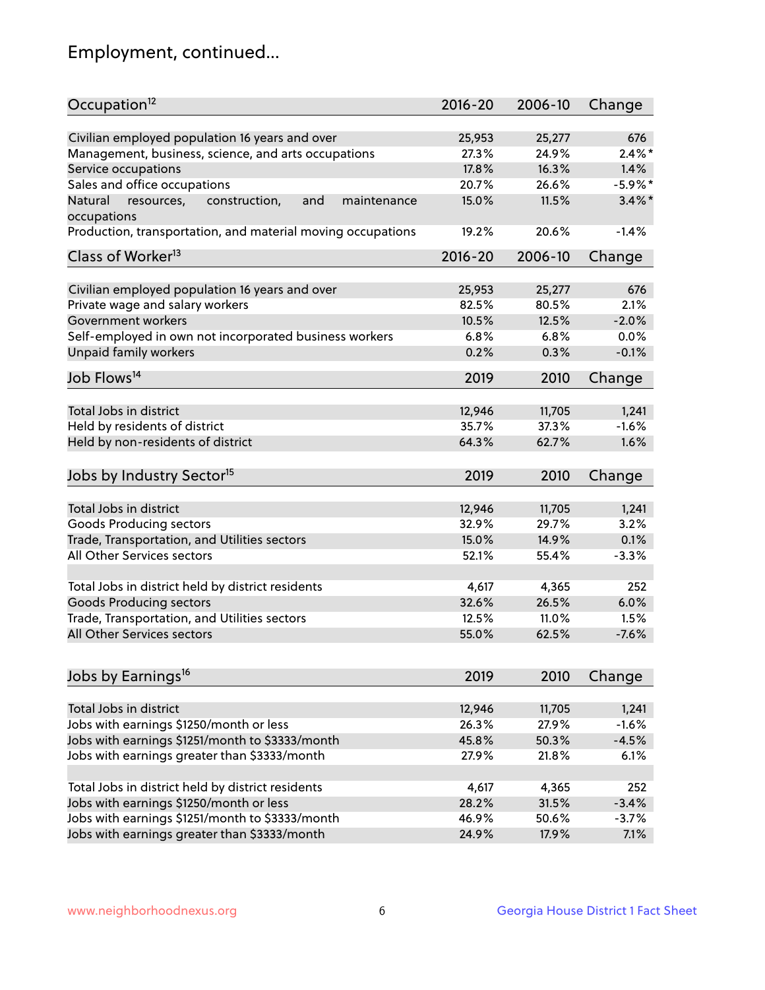## Employment, continued...

| Occupation <sup>12</sup>                                                    | $2016 - 20$ | 2006-10        | Change     |
|-----------------------------------------------------------------------------|-------------|----------------|------------|
| Civilian employed population 16 years and over                              |             |                | 676        |
|                                                                             | 25,953      | 25,277         | $2.4\%$ *  |
| Management, business, science, and arts occupations                         | 27.3%       | 24.9%<br>16.3% |            |
| Service occupations                                                         | 17.8%       |                | 1.4%       |
| Sales and office occupations                                                | 20.7%       | 26.6%          | $-5.9\%$ * |
| Natural<br>and<br>resources,<br>construction,<br>maintenance<br>occupations | 15.0%       | 11.5%          | $3.4\%$ *  |
| Production, transportation, and material moving occupations                 | 19.2%       | 20.6%          | $-1.4%$    |
| Class of Worker <sup>13</sup>                                               | 2016-20     | 2006-10        | Change     |
|                                                                             |             |                |            |
| Civilian employed population 16 years and over                              | 25,953      | 25,277         | 676        |
| Private wage and salary workers                                             | 82.5%       | 80.5%          | 2.1%       |
| Government workers                                                          | 10.5%       | 12.5%          | $-2.0%$    |
| Self-employed in own not incorporated business workers                      | 6.8%        | 6.8%           | 0.0%       |
| Unpaid family workers                                                       | 0.2%        | 0.3%           | $-0.1%$    |
| Job Flows <sup>14</sup>                                                     | 2019        | 2010           | Change     |
|                                                                             |             |                |            |
| Total Jobs in district                                                      | 12,946      | 11,705         | 1,241      |
| Held by residents of district                                               | 35.7%       | 37.3%          | $-1.6%$    |
| Held by non-residents of district                                           | 64.3%       | 62.7%          | 1.6%       |
| Jobs by Industry Sector <sup>15</sup>                                       | 2019        | 2010           | Change     |
|                                                                             |             |                |            |
| Total Jobs in district                                                      | 12,946      | 11,705         | 1,241      |
| Goods Producing sectors                                                     | 32.9%       | 29.7%          | 3.2%       |
| Trade, Transportation, and Utilities sectors                                | 15.0%       | 14.9%          | 0.1%       |
| All Other Services sectors                                                  | 52.1%       | 55.4%          | $-3.3%$    |
|                                                                             |             |                |            |
| Total Jobs in district held by district residents                           | 4,617       | 4,365          | 252        |
| <b>Goods Producing sectors</b>                                              | 32.6%       | 26.5%          | 6.0%       |
| Trade, Transportation, and Utilities sectors                                | 12.5%       | 11.0%          | 1.5%       |
| All Other Services sectors                                                  | 55.0%       | 62.5%          | $-7.6%$    |
|                                                                             |             |                |            |
| Jobs by Earnings <sup>16</sup>                                              | 2019        | 2010           | Change     |
|                                                                             |             |                |            |
| Total Jobs in district                                                      | 12,946      | 11,705         | 1,241      |
| Jobs with earnings \$1250/month or less                                     | 26.3%       | 27.9%          | $-1.6%$    |
| Jobs with earnings \$1251/month to \$3333/month                             | 45.8%       | 50.3%          | $-4.5%$    |
| Jobs with earnings greater than \$3333/month                                | 27.9%       | 21.8%          | 6.1%       |
| Total Jobs in district held by district residents                           | 4,617       | 4,365          | 252        |
| Jobs with earnings \$1250/month or less                                     | 28.2%       | 31.5%          | $-3.4%$    |
| Jobs with earnings \$1251/month to \$3333/month                             | 46.9%       | 50.6%          | $-3.7%$    |
| Jobs with earnings greater than \$3333/month                                | 24.9%       | 17.9%          | 7.1%       |
|                                                                             |             |                |            |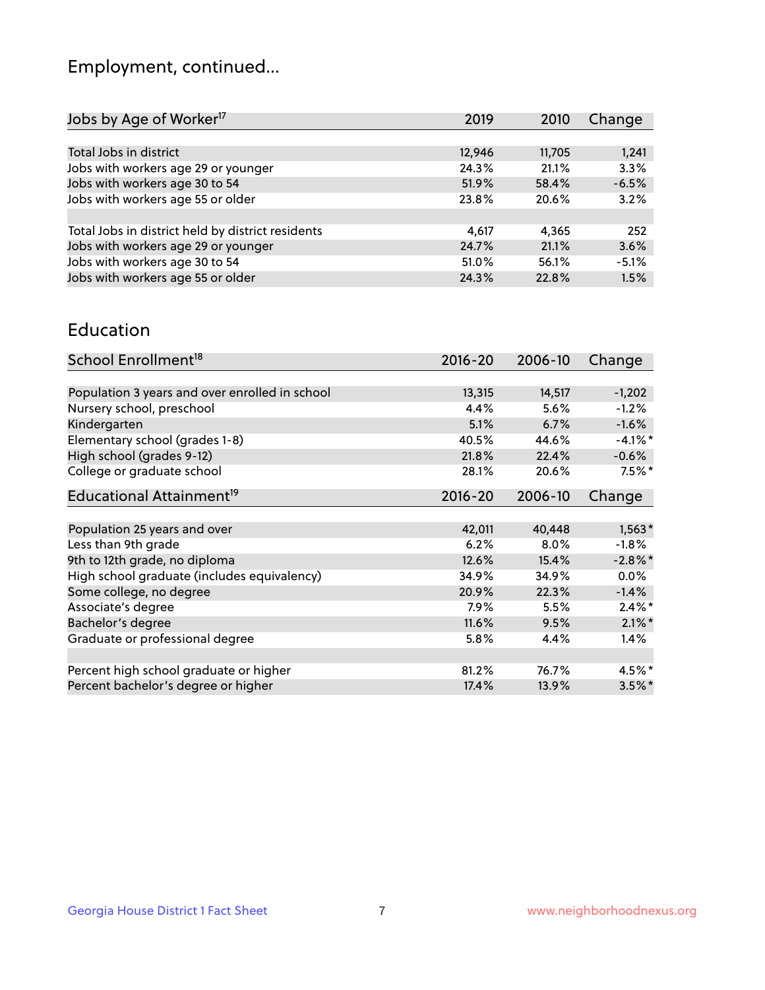## Employment, continued...

| 2019   | 2010   | Change  |
|--------|--------|---------|
|        |        |         |
| 12,946 | 11,705 | 1,241   |
| 24.3%  | 21.1%  | 3.3%    |
| 51.9%  | 58.4%  | $-6.5%$ |
| 23.8%  | 20.6%  | 3.2%    |
|        |        |         |
| 4.617  | 4.365  | 252     |
| 24.7%  | 21.1%  | 3.6%    |
| 51.0%  | 56.1%  | $-5.1%$ |
| 24.3%  | 22.8%  | 1.5%    |
|        |        |         |

#### Education

| School Enrollment <sup>18</sup>                | $2016 - 20$ | 2006-10 | Change     |
|------------------------------------------------|-------------|---------|------------|
|                                                |             |         |            |
| Population 3 years and over enrolled in school | 13,315      | 14,517  | $-1,202$   |
| Nursery school, preschool                      | 4.4%        | 5.6%    | $-1.2%$    |
| Kindergarten                                   | 5.1%        | 6.7%    | $-1.6%$    |
| Elementary school (grades 1-8)                 | 40.5%       | 44.6%   | $-4.1\%$ * |
| High school (grades 9-12)                      | 21.8%       | 22.4%   | $-0.6%$    |
| College or graduate school                     | 28.1%       | 20.6%   | $7.5%$ *   |
| Educational Attainment <sup>19</sup>           | $2016 - 20$ | 2006-10 | Change     |
|                                                |             |         |            |
| Population 25 years and over                   | 42,011      | 40,448  | $1,563*$   |
| Less than 9th grade                            | 6.2%        | $8.0\%$ | $-1.8%$    |
| 9th to 12th grade, no diploma                  | 12.6%       | 15.4%   | $-2.8\%$ * |
| High school graduate (includes equivalency)    | 34.9%       | 34.9%   | $0.0\%$    |
| Some college, no degree                        | 20.9%       | 22.3%   | $-1.4%$    |
| Associate's degree                             | 7.9%        | 5.5%    | $2.4\%$ *  |
| Bachelor's degree                              | 11.6%       | 9.5%    | $2.1\%$ *  |
| Graduate or professional degree                | 5.8%        | 4.4%    | 1.4%       |
|                                                |             |         |            |
| Percent high school graduate or higher         | 81.2%       | 76.7%   | 4.5%*      |
| Percent bachelor's degree or higher            | 17.4%       | 13.9%   | $3.5\%$ *  |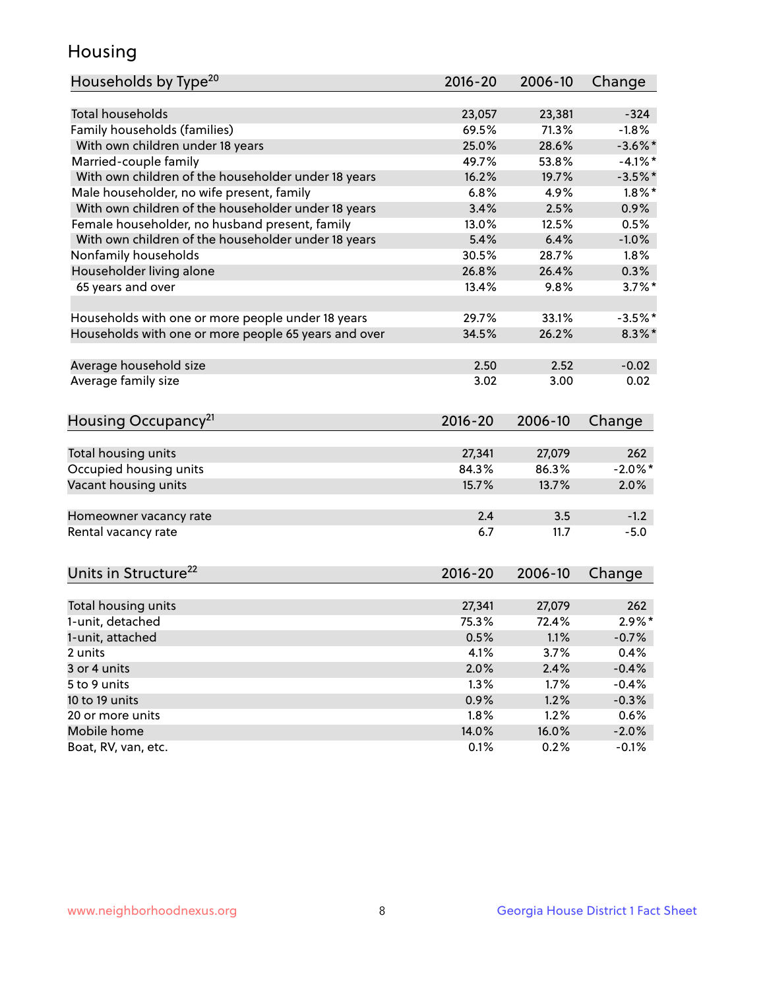## Housing

| Households by Type <sup>20</sup>                     | 2016-20     | 2006-10 | Change     |
|------------------------------------------------------|-------------|---------|------------|
|                                                      |             |         |            |
| <b>Total households</b>                              | 23,057      | 23,381  | $-324$     |
| Family households (families)                         | 69.5%       | 71.3%   | $-1.8%$    |
| With own children under 18 years                     | 25.0%       | 28.6%   | $-3.6\%$ * |
| Married-couple family                                | 49.7%       | 53.8%   | $-4.1\%$ * |
| With own children of the householder under 18 years  | 16.2%       | 19.7%   | $-3.5%$ *  |
| Male householder, no wife present, family            | 6.8%        | 4.9%    | $1.8\%$ *  |
| With own children of the householder under 18 years  | 3.4%        | 2.5%    | 0.9%       |
| Female householder, no husband present, family       | 13.0%       | 12.5%   | 0.5%       |
| With own children of the householder under 18 years  | 5.4%        | 6.4%    | $-1.0%$    |
| Nonfamily households                                 | 30.5%       | 28.7%   | 1.8%       |
| Householder living alone                             | 26.8%       | 26.4%   | 0.3%       |
| 65 years and over                                    | 13.4%       | 9.8%    | $3.7\%$ *  |
|                                                      |             |         |            |
| Households with one or more people under 18 years    | 29.7%       | 33.1%   | $-3.5%$ *  |
| Households with one or more people 65 years and over | 34.5%       | 26.2%   | $8.3\%$ *  |
| Average household size                               | 2.50        | 2.52    | $-0.02$    |
| Average family size                                  | 3.02        | 3.00    | 0.02       |
| Housing Occupancy <sup>21</sup>                      | $2016 - 20$ | 2006-10 | Change     |
|                                                      |             |         |            |
| Total housing units                                  | 27,341      | 27,079  | 262        |
| Occupied housing units                               | 84.3%       | 86.3%   | $-2.0\%$ * |
| Vacant housing units                                 | 15.7%       | 13.7%   | 2.0%       |
|                                                      |             |         |            |
| Homeowner vacancy rate                               | 2.4         | 3.5     | $-1.2$     |
| Rental vacancy rate                                  | 6.7         | 11.7    | $-5.0$     |
| Units in Structure <sup>22</sup>                     | $2016 - 20$ | 2006-10 | Change     |
|                                                      |             |         |            |
| Total housing units                                  | 27,341      | 27,079  | 262        |
| 1-unit, detached                                     | 75.3%       | 72.4%   | $2.9\%*$   |
| 1-unit, attached                                     | 0.5%        | 1.1%    | $-0.7%$    |
| 2 units                                              | 4.1%        | 3.7%    | 0.4%       |
| 3 or 4 units                                         | 2.0%        | 2.4%    | $-0.4%$    |
| 5 to 9 units                                         | 1.3%        | 1.7%    | $-0.4%$    |
| 10 to 19 units                                       | 0.9%        | 1.2%    | $-0.3%$    |
| 20 or more units                                     | 1.8%        | 1.2%    | 0.6%       |
| Mobile home                                          | 14.0%       | 16.0%   | $-2.0%$    |
| Boat, RV, van, etc.                                  | 0.1%        | 0.2%    | $-0.1%$    |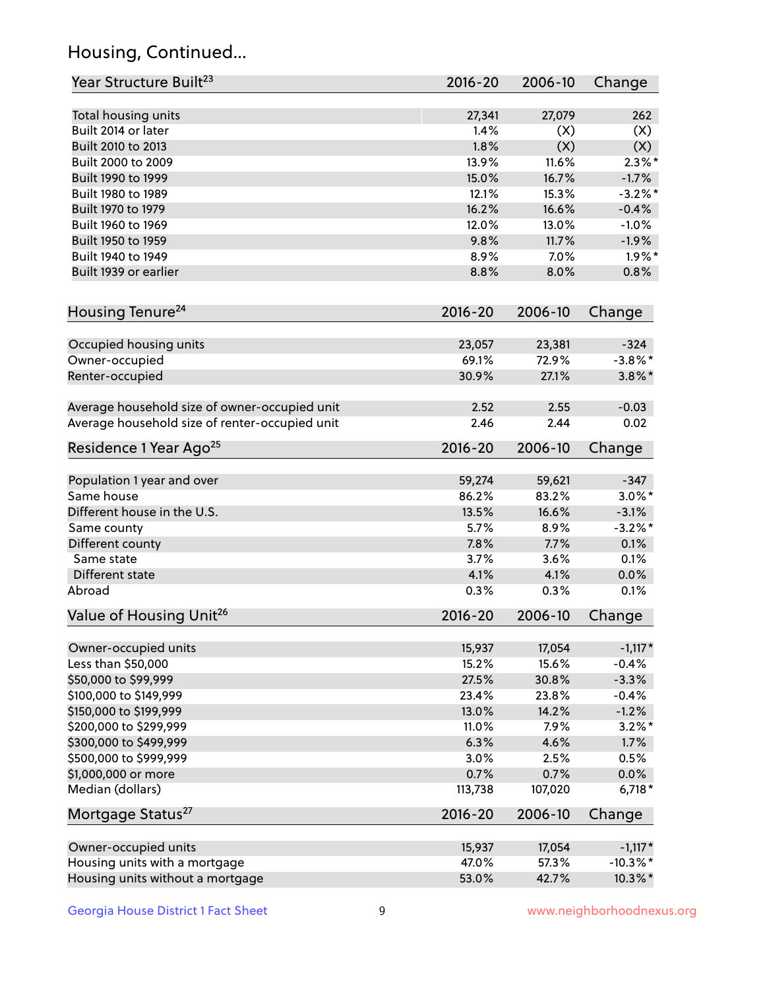## Housing, Continued...

| Year Structure Built <sup>23</sup>             | 2016-20     | 2006-10 | Change      |
|------------------------------------------------|-------------|---------|-------------|
| Total housing units                            | 27,341      | 27,079  | 262         |
| Built 2014 or later                            | 1.4%        | (X)     | (X)         |
| Built 2010 to 2013                             | 1.8%        | (X)     | (X)         |
| Built 2000 to 2009                             | 13.9%       | 11.6%   | $2.3\%$ *   |
| Built 1990 to 1999                             | 15.0%       | 16.7%   | $-1.7%$     |
| Built 1980 to 1989                             | 12.1%       | 15.3%   | $-3.2\%$ *  |
| Built 1970 to 1979                             | 16.2%       | 16.6%   | $-0.4%$     |
| Built 1960 to 1969                             | 12.0%       | 13.0%   | $-1.0%$     |
| Built 1950 to 1959                             | 9.8%        | 11.7%   | $-1.9%$     |
| Built 1940 to 1949                             | 8.9%        | 7.0%    | $1.9\%$ *   |
| Built 1939 or earlier                          | 8.8%        | 8.0%    | 0.8%        |
| Housing Tenure <sup>24</sup>                   | $2016 - 20$ | 2006-10 | Change      |
| Occupied housing units                         | 23,057      | 23,381  | $-324$      |
| Owner-occupied                                 | 69.1%       | 72.9%   | $-3.8\%$ *  |
| Renter-occupied                                | 30.9%       | 27.1%   | $3.8\%$ *   |
| Average household size of owner-occupied unit  | 2.52        | 2.55    | $-0.03$     |
| Average household size of renter-occupied unit | 2.46        | 2.44    | 0.02        |
| Residence 1 Year Ago <sup>25</sup>             | $2016 - 20$ | 2006-10 | Change      |
| Population 1 year and over                     | 59,274      | 59,621  | $-347$      |
| Same house                                     | 86.2%       | 83.2%   | $3.0\%$ *   |
| Different house in the U.S.                    | 13.5%       | 16.6%   | $-3.1%$     |
| Same county                                    | 5.7%        | 8.9%    | $-3.2%$ *   |
| Different county                               | 7.8%        | 7.7%    | 0.1%        |
| Same state                                     | 3.7%        | 3.6%    | 0.1%        |
| Different state                                | 4.1%        | 4.1%    | 0.0%        |
| Abroad                                         | 0.3%        | 0.3%    | 0.1%        |
| Value of Housing Unit <sup>26</sup>            | $2016 - 20$ | 2006-10 | Change      |
| Owner-occupied units                           | 15,937      | 17,054  | $-1,117*$   |
| Less than \$50,000                             | 15.2%       | 15.6%   | $-0.4%$     |
| \$50,000 to \$99,999                           | 27.5%       | 30.8%   | $-3.3%$     |
| \$100,000 to \$149,999                         | 23.4%       | 23.8%   | $-0.4%$     |
| \$150,000 to \$199,999                         | 13.0%       | 14.2%   | $-1.2%$     |
| \$200,000 to \$299,999                         | 11.0%       | 7.9%    | $3.2\%$ *   |
| \$300,000 to \$499,999                         | 6.3%        | 4.6%    | 1.7%        |
| \$500,000 to \$999,999                         | 3.0%        | 2.5%    | 0.5%        |
| \$1,000,000 or more                            | 0.7%        | 0.7%    | 0.0%        |
| Median (dollars)                               | 113,738     | 107,020 | $6,718*$    |
| Mortgage Status <sup>27</sup>                  | $2016 - 20$ | 2006-10 | Change      |
| Owner-occupied units                           | 15,937      | 17,054  | $-1,117*$   |
| Housing units with a mortgage                  | 47.0%       | 57.3%   | $-10.3\%$ * |
| Housing units without a mortgage               | 53.0%       | 42.7%   | 10.3%*      |
|                                                |             |         |             |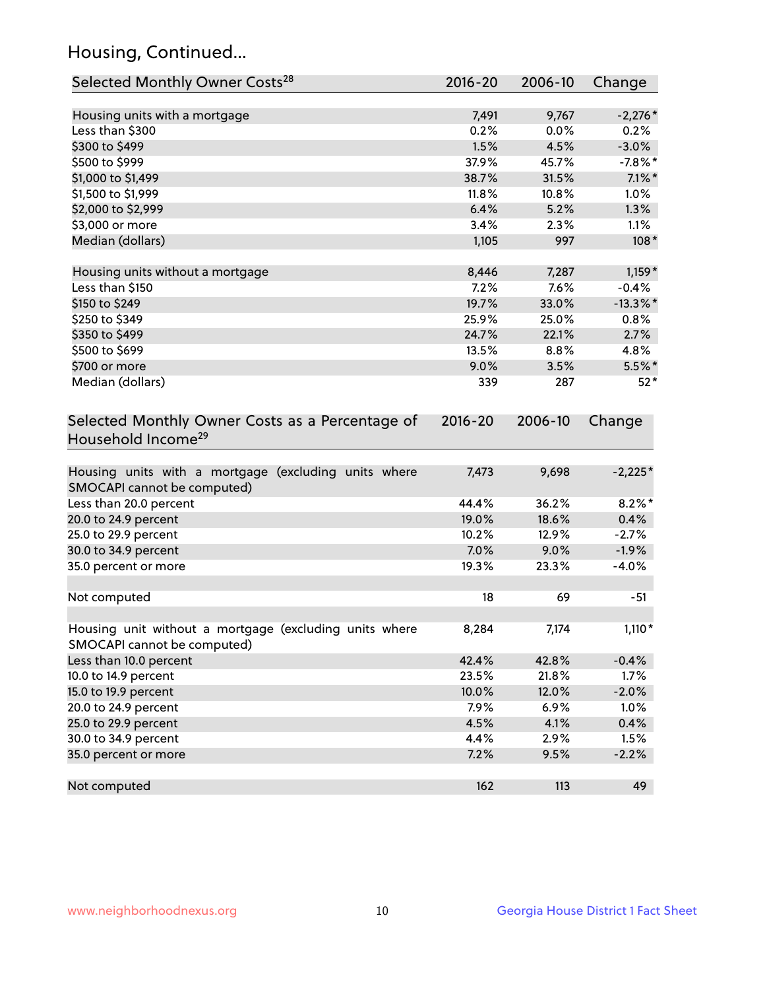## Housing, Continued...

| Selected Monthly Owner Costs <sup>28</sup>                                            | $2016 - 20$ | 2006-10 | Change      |
|---------------------------------------------------------------------------------------|-------------|---------|-------------|
| Housing units with a mortgage                                                         | 7,491       | 9,767   | $-2,276*$   |
| Less than \$300                                                                       | 0.2%        | 0.0%    | 0.2%        |
| \$300 to \$499                                                                        | 1.5%        | 4.5%    | $-3.0%$     |
| \$500 to \$999                                                                        | 37.9%       | 45.7%   | $-7.8%$ *   |
| \$1,000 to \$1,499                                                                    | 38.7%       | 31.5%   | $7.1\%$ *   |
| \$1,500 to \$1,999                                                                    | 11.8%       | 10.8%   | 1.0%        |
| \$2,000 to \$2,999                                                                    | 6.4%        | 5.2%    | 1.3%        |
| \$3,000 or more                                                                       | 3.4%        | 2.3%    | 1.1%        |
| Median (dollars)                                                                      | 1,105       | 997     | $108*$      |
| Housing units without a mortgage                                                      | 8,446       | 7,287   | $1,159*$    |
| Less than \$150                                                                       | 7.2%        | 7.6%    | $-0.4%$     |
| \$150 to \$249                                                                        | 19.7%       | 33.0%   | $-13.3\%$ * |
| \$250 to \$349                                                                        | 25.9%       | 25.0%   | $0.8\%$     |
| \$350 to \$499                                                                        | 24.7%       | 22.1%   | 2.7%        |
| \$500 to \$699                                                                        | 13.5%       | 8.8%    | 4.8%        |
| \$700 or more                                                                         | 9.0%        | 3.5%    | $5.5\%$ *   |
| Median (dollars)                                                                      | 339         | 287     | $52*$       |
| Selected Monthly Owner Costs as a Percentage of<br>Household Income <sup>29</sup>     | $2016 - 20$ | 2006-10 | Change      |
| Housing units with a mortgage (excluding units where<br>SMOCAPI cannot be computed)   | 7,473       | 9,698   | $-2,225*$   |
| Less than 20.0 percent                                                                | 44.4%       | 36.2%   | $8.2\%$ *   |
| 20.0 to 24.9 percent                                                                  | 19.0%       | 18.6%   | 0.4%        |
| 25.0 to 29.9 percent                                                                  | 10.2%       | 12.9%   | $-2.7%$     |
| 30.0 to 34.9 percent                                                                  | 7.0%        | 9.0%    | $-1.9%$     |
| 35.0 percent or more                                                                  | 19.3%       | 23.3%   | $-4.0%$     |
| Not computed                                                                          | 18          | 69      | $-51$       |
| Housing unit without a mortgage (excluding units where<br>SMOCAPI cannot be computed) | 8,284       | 7,174   | $1,110*$    |
| Less than 10.0 percent                                                                | 42.4%       | 42.8%   | $-0.4%$     |
| 10.0 to 14.9 percent                                                                  | 23.5%       | 21.8%   | 1.7%        |
| 15.0 to 19.9 percent                                                                  | 10.0%       | 12.0%   | $-2.0%$     |
| 20.0 to 24.9 percent                                                                  | 7.9%        | 6.9%    | 1.0%        |
| 25.0 to 29.9 percent                                                                  | 4.5%        | 4.1%    | 0.4%        |
| 30.0 to 34.9 percent                                                                  | 4.4%        | 2.9%    | 1.5%        |
| 35.0 percent or more                                                                  | 7.2%        | 9.5%    | $-2.2%$     |
| Not computed                                                                          | 162         | 113     | 49          |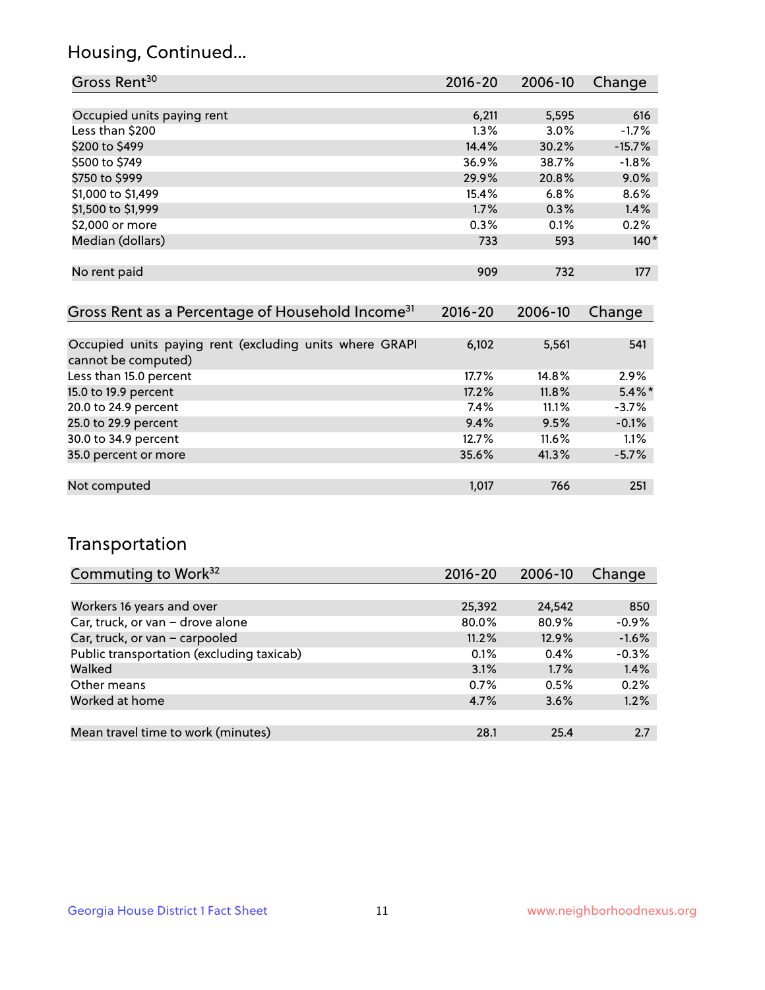## Housing, Continued...

| Gross Rent <sup>30</sup>   | 2016-20 | $2006 - 10$ | Change   |
|----------------------------|---------|-------------|----------|
|                            |         |             |          |
| Occupied units paying rent | 6,211   | 5,595       | 616      |
| Less than \$200            | 1.3%    | 3.0%        | $-1.7%$  |
| \$200 to \$499             | 14.4%   | 30.2%       | $-15.7%$ |
| \$500 to \$749             | 36.9%   | 38.7%       | $-1.8%$  |
| \$750 to \$999             | 29.9%   | 20.8%       | 9.0%     |
| \$1,000 to \$1,499         | 15.4%   | 6.8%        | 8.6%     |
| \$1,500 to \$1,999         | 1.7%    | 0.3%        | 1.4%     |
| \$2,000 or more            | 0.3%    | 0.1%        | 0.2%     |
| Median (dollars)           | 733     | 593         | $140*$   |
|                            |         |             |          |
| No rent paid               | 909     | 732         | 177      |

| Gross Rent as a Percentage of Household Income <sup>31</sup>                   | $2016 - 20$ | 2006-10 | Change    |
|--------------------------------------------------------------------------------|-------------|---------|-----------|
|                                                                                |             |         |           |
| Occupied units paying rent (excluding units where GRAPI<br>cannot be computed) | 6,102       | 5,561   | 541       |
| Less than 15.0 percent                                                         | $17.7\%$    | 14.8%   | 2.9%      |
| 15.0 to 19.9 percent                                                           | 17.2%       | 11.8%   | $5.4\%$ * |
| 20.0 to 24.9 percent                                                           | 7.4%        | 11.1%   | $-3.7%$   |
| 25.0 to 29.9 percent                                                           | 9.4%        | 9.5%    | $-0.1%$   |
| 30.0 to 34.9 percent                                                           | 12.7%       | 11.6%   | 1.1%      |
| 35.0 percent or more                                                           | 35.6%       | 41.3%   | $-5.7%$   |
|                                                                                |             |         |           |
| Not computed                                                                   | 1,017       | 766     | 251       |

## Transportation

| Commuting to Work <sup>32</sup>           | 2016-20 | 2006-10 | Change  |
|-------------------------------------------|---------|---------|---------|
|                                           |         |         |         |
| Workers 16 years and over                 | 25,392  | 24,542  | 850     |
| Car, truck, or van - drove alone          | 80.0%   | 80.9%   | $-0.9%$ |
| Car, truck, or van - carpooled            | 11.2%   | 12.9%   | $-1.6%$ |
| Public transportation (excluding taxicab) | 0.1%    | 0.4%    | $-0.3%$ |
| Walked                                    | 3.1%    | 1.7%    | 1.4%    |
| Other means                               | 0.7%    | 0.5%    | 0.2%    |
| Worked at home                            | 4.7%    | 3.6%    | 1.2%    |
|                                           |         |         |         |
| Mean travel time to work (minutes)        | 28.1    | 25.4    | 2.7     |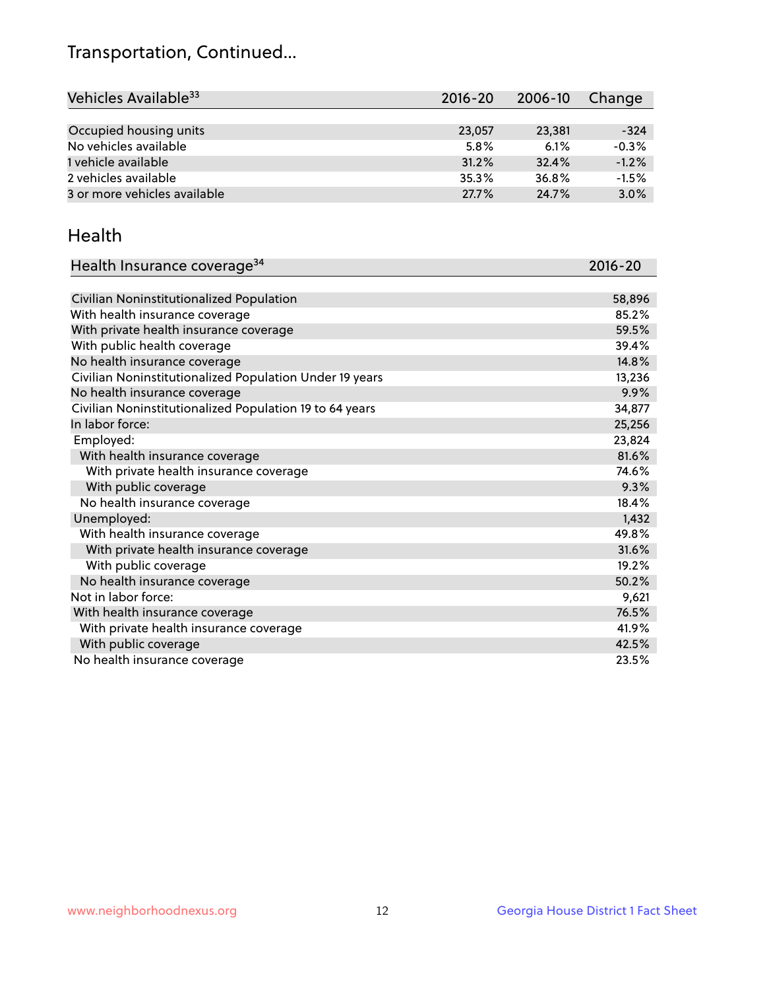## Transportation, Continued...

| Vehicles Available <sup>33</sup> | $2016 - 20$ | 2006-10 | Change  |
|----------------------------------|-------------|---------|---------|
|                                  |             |         |         |
| Occupied housing units           | 23,057      | 23,381  | $-324$  |
| No vehicles available            | 5.8%        | 6.1%    | $-0.3%$ |
| 1 vehicle available              | 31.2%       | 32.4%   | $-1.2%$ |
| 2 vehicles available             | 35.3%       | 36.8%   | $-1.5%$ |
| 3 or more vehicles available     | 27.7%       | 24.7%   | 3.0%    |

#### Health

| Health Insurance coverage <sup>34</sup>                 | 2016-20 |
|---------------------------------------------------------|---------|
|                                                         |         |
| Civilian Noninstitutionalized Population                | 58,896  |
| With health insurance coverage                          | 85.2%   |
| With private health insurance coverage                  | 59.5%   |
| With public health coverage                             | 39.4%   |
| No health insurance coverage                            | 14.8%   |
| Civilian Noninstitutionalized Population Under 19 years | 13,236  |
| No health insurance coverage                            | 9.9%    |
| Civilian Noninstitutionalized Population 19 to 64 years | 34,877  |
| In labor force:                                         | 25,256  |
| Employed:                                               | 23,824  |
| With health insurance coverage                          | 81.6%   |
| With private health insurance coverage                  | 74.6%   |
| With public coverage                                    | 9.3%    |
| No health insurance coverage                            | 18.4%   |
| Unemployed:                                             | 1,432   |
| With health insurance coverage                          | 49.8%   |
| With private health insurance coverage                  | 31.6%   |
| With public coverage                                    | 19.2%   |
| No health insurance coverage                            | 50.2%   |
| Not in labor force:                                     | 9,621   |
| With health insurance coverage                          | 76.5%   |
| With private health insurance coverage                  | 41.9%   |
| With public coverage                                    | 42.5%   |
| No health insurance coverage                            | 23.5%   |